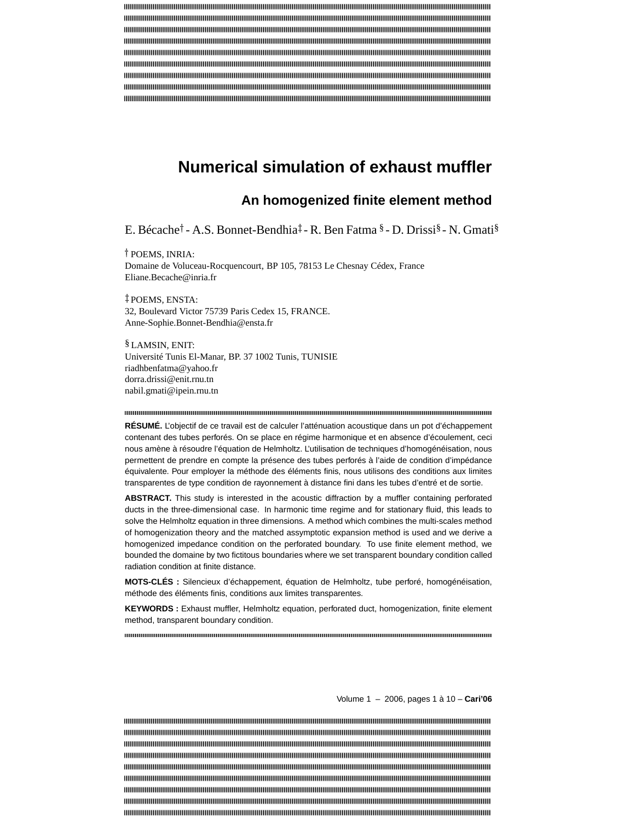# **Numerical simulation of exhaust muffler**

## **An homogenized finite element method**

E. Bécache† - A.S. Bonnet-Bendhia‡ - R. Ben Fatma § - D. Drissi§ - N. Gmati§

 POEMS, INRIA: Domaine de Voluceau-Rocquencourt, BP 105, 78153 Le Chesnay Cédex, France Eliane.Becache@inria.fr

 POEMS, ENSTA: 32, Boulevard Victor 75739 Paris Cedex 15, FRANCE. Anne-Sophie.Bonnet-Bendhia@ensta.fr

§ LAMSIN, ENIT: Université Tunis El-Manar, BP. 37 1002 Tunis, TUNISIE riadhbenfatma@yahoo.fr dorra.drissi@enit.rnu.tn nabil.gmati@ipein.rnu.tn

#### 

**RÉSUMÉ.** L'objectif de ce travail est de calculer l'atténuation acoustique dans un pot d'échappement contenant des tubes perforés. On se place en régime harmonique et en absence d'écoulement, ceci nous amène à résoudre l'équation de Helmholtz. L'utilisation de techniques d'homogénéisation, nous permettent de prendre en compte la présence des tubes perforés à l'aide de condition d'impédance équivalente. Pour employer la méthode des éléments finis, nous utilisons des conditions aux limites transparentes de type condition de rayonnement à distance fini dans les tubes d'entré et de sortie.

**ABSTRACT.** This study is interested in the acoustic diffraction by a muffler containing perforated ducts in the three-dimensional case. In harmonic time regime and for stationary fluid, this leads to solve the Helmholtz equation in three dimensions. A method which combines the multi-scales method of homogenization theory and the matched assymptotic expansion method is used and we derive a homogenized impedance condition on the perforated boundary. To use finite element method, we bounded the domaine by two fictitous boundaries where we set transparent boundary condition called radiation condition at finite distance.

**MOTS-CLÉS :** Silencieux d'échappement, équation de Helmholtz, tube perforé, homogénéisation, méthode des éléments finis, conditions aux limites transparentes.

**KEYWORDS :** Exhaust muffler, Helmholtz equation, perforated duct, homogenization, finite element method, transparent boundary condition.

Volume 1 – 2006, pages 1 à 10 – **Cari'06**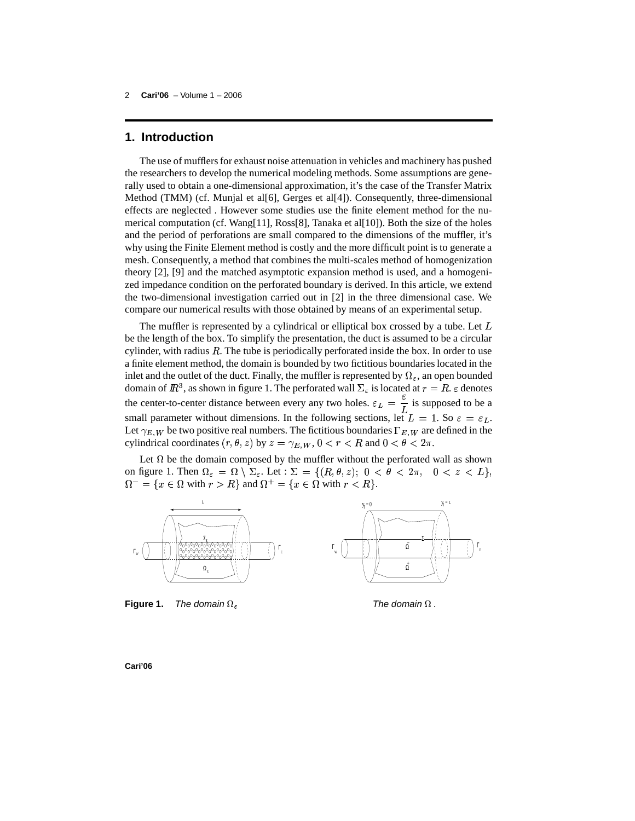## **1. Introduction**

The use of mufflers for exhaust noise attenuation in vehicles and machinery has pushed the researchers to develop the numerical modeling methods. Some assumptions are generally used to obtain a one-dimensional approximation, it's the case of the Transfer Matrix Method (TMM) (cf. Munjal et al[6], Gerges et al[4]). Consequently, three-dimensional effects are neglected . However some studies use the finite element method for the numerical computation (cf. Wang[11], Ross[8], Tanaka et al[10]). Both the size of the holes and the period of perforations are small compared to the dimensions of the muffler, it's why using the Finite Element method is costly and the more difficult point is to generate a mesh. Consequently, a method that combines the multi-scales method of homogenization theory [2], [9] and the matched asymptotic expansion method is used, and a homogenized impedance condition on the perforated boundary is derived. In this article, we extend the two-dimensional investigation carried out in [2] in the three dimensional case. We compare our numerical results with those obtained by means of an experimental setup.

The muffler is represented by a cylindrical or elliptical box crossed by a tube. Let  $L$ be the length of the box. To simplify the presentation, the duct is assumed to be a circular cylinder, with radius  $R$ . The tube is periodically perforated inside the box. In order to use a finite element method, the domain is bounded by two fictitious boundaries located in the inlet and the outlet of the duct. Finally, the muffler is represented by  $\Omega_{\varepsilon}$ , an open bounded domain of  $I\!\!R^3$ , as shown in figure 1. The perforated wall  $\Sigma_{\varepsilon}$  is located at  $r = R$ .  $\varepsilon$  denotes the center-to-center distance between every any two holes.  $\varepsilon_L = \frac{1}{\tau}$  is supposed to be a small parameter without dimensions. In the following sections, let  $L = 1$ . So  $\varepsilon = \varepsilon_L$ . Let  $\gamma_{E,W}$  be two positive real numbers. The fictitious boundaries  $\Gamma_{E,W}$  are defined in the cylindrical coordinates  $(r, \theta, z)$  by  $z = \gamma_{E,W}$ ,  $0 < r < R$  and  $0 < \theta < 2\pi$ .

Let  $\Omega$  be the domain composed by the muffler without the perforated wall as shown on figure 1. Then  $\Omega_{\varepsilon} = \Omega \setminus \Sigma_{\varepsilon}$ . Let :  $\Sigma = \{ (R, \theta, z) ; 0 < \theta < 2\pi, 0 < z < L \},\$  $\Omega^- = \{x \in \Omega \text{ with } r > R\}$  and  $\Omega^+ = \{x \in \Omega \text{ with } r < R\}.$ 



**Figure 1.** The domain  $\Omega_{\varepsilon}$  **Figure** 1. The domain  $\Omega$ .

**Cari'06**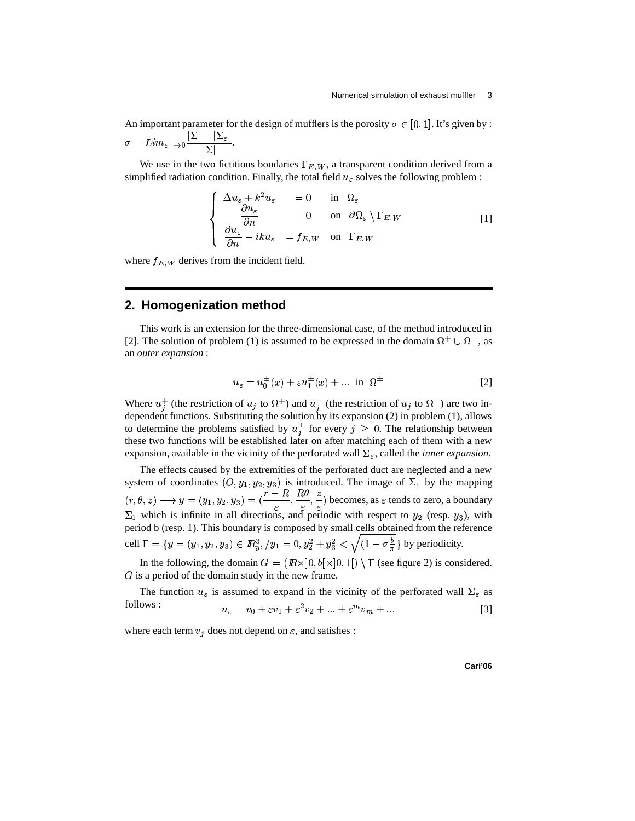An important parameter for the design of mufflers is the porosity  $\sigma \in [0, 1]$ . It's given by :  $\mathbb{E} \longrightarrow$   $\mathbb{E}$  $\frac{|\Sigma| - |\Sigma_\varepsilon|}{|\Sigma|}.$ 

We use in the two fictitious boudaries  $\Gamma_{E, W}$ , a transparent condition derived from a simplified radiation condition. Finally, the total field  $u_{\varepsilon}$  solves the following problem :

$$
\begin{cases}\n\Delta u_{\varepsilon} + k^2 u_{\varepsilon} = 0 & \text{in } \Omega_{\varepsilon} \\
\frac{\partial u_{\varepsilon}}{\partial n} = 0 & \text{on } \partial \Omega_{\varepsilon} \setminus \Gamma_{E,W} \\
\frac{\partial u_{\varepsilon}}{\partial n} - i k u_{\varepsilon} = f_{E,W} & \text{on } \Gamma_{E,W}\n\end{cases}
$$
\n[1]

where  $f_{E,W}$  derives from the incident field.

#### **2. Homogenization method**

This work is an extension for the three-dimensional case, of the method introduced in [2]. The solution of problem (1) is assumed to be expressed in the domain  $\Omega^+ \cup \Omega^-$ , as an *outer expansion* :

$$
u_{\varepsilon} = u_0^{\pm}(x) + \varepsilon u_1^{\pm}(x) + \dots \text{ in } \Omega^{\pm}
$$
 [2]

Where  $u_j^+$  (the restriction of  $u_j$  to  $\Omega^+$ ) and  $u_j^-$  (the restriction of  $u_j$  to  $\Omega^-$ ) are two independent functions. Substituting the solution by its expansion (2) in problem (1), allows to determine the problems satisfied by  $u_j^{\pm}$  for every  $j \geq 0$ . The relationship between these two functions will be established later on after matching each of them with a new expansion, available in the vicinity of the perforated wall  $\Sigma_{\varepsilon}$ , called the *inner expansion*.

The effects caused by the extremities of the perforated duct are neglected and a new system of coordinates  $(0, y_1, y_2, y_3)$  is introduced. The image of  $\Sigma_{\varepsilon}$  by the mapping  $\frac{1}{2}$ .  $(r, \theta, z) \longrightarrow y = (y_1, y_2, y_3) = (\frac{r - R}{\epsilon}, \frac{R\theta}{\epsilon}, \frac{z}{\epsilon})$  becom  $(\frac{1}{\varepsilon}, \frac{1}{\varepsilon}, \frac{2}{\varepsilon})$  becomes, as  $\varepsilon$  tends to zero, a boundary  $\Sigma_1$  which is infinite in all directions, and periodic with respect to  $y_2$  (resp.  $y_3$ ), with period b (resp. 1). This boundary is composed by small cells obtained from the reference cell  $\Gamma = \{y = (y_1, y_2, y_3) \in I\!\!R_y^3, /y_1 = 0, y_2^2 + y_3^2 < \sqrt{(1-\sigma \frac{b}{\pi}}\}$  by periodicity.

In the following, the domain  $G = (I\!\!R \times ]0, b[ \times ]0, 1] \setminus \Gamma$  (see figure 2) is considered.  $G$  is a period of the domain study in the new frame.

The function  $u_{\varepsilon}$  is assumed to expand in the vicinity of the perforated wall  $\Sigma_{\varepsilon}$  as follows :  $\overline{2}$  $\mathcal{L}$ 

$$
u_{\varepsilon} = v_0 + \varepsilon v_1 + \varepsilon^2 v_2 + \dots + \varepsilon^m v_m + \dots
$$
 [3]

where each term  $v_j$  does not depend on  $\varepsilon$ , and satisfies :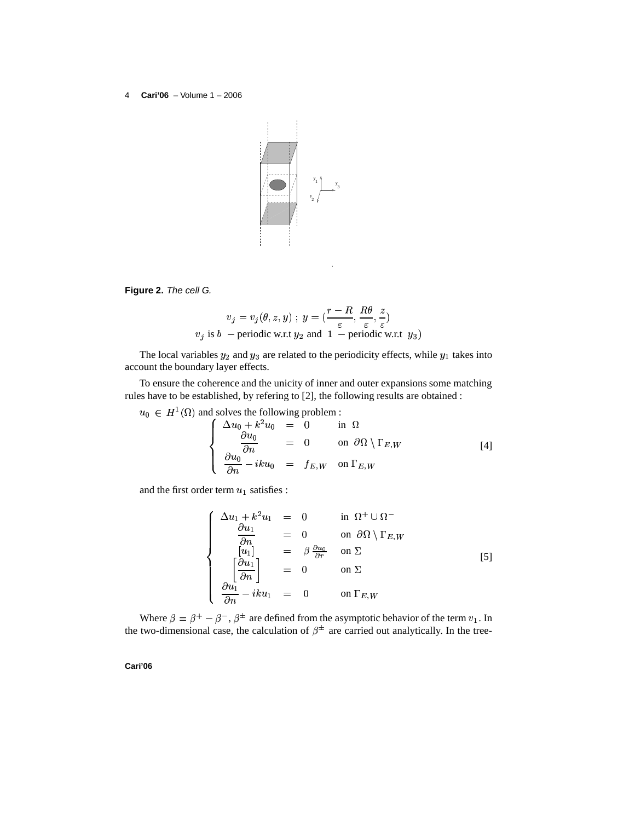

**Figure 2.** The cell G.

$$
v_j = v_j(\theta, z, y) \; ; \; y = (\frac{r - R}{\varepsilon}, \frac{R\theta}{\varepsilon}, \frac{z}{\varepsilon})
$$
  

$$
v_j \text{ is } b \text{ -- periodic w.r.t } y_2 \text{ and } 1 \text{ -- periodic w.r.t } y_3)
$$

The local variables  $y_2$  and  $y_3$  are related to the periodicity effects, while  $y_1$  takes into account the boundary layer effects.

To ensure the coherence and the unicity of inner and outer expansions some matching rules have to be established, by refering to [2], the following results are obtained :

 $u_0 \in H^1(\Omega)$  and solves the following problem :

$$
\begin{cases}\n\Delta u_0 + k^2 u_0 = 0 & \text{in } \Omega \\
\frac{\partial u_0}{\partial n} = 0 & \text{on } \partial \Omega \setminus \Gamma_{E,W} \\
\frac{\partial u_0}{\partial n} - i k u_0 = f_{E,W} & \text{on } \Gamma_{E,W}\n\end{cases}
$$
\n[4]

and the first order term  $u_1$  satisfies :

$$
\begin{cases}\n\Delta u_1 + k^2 u_1 = 0 & \text{in } \Omega^+ \cup \Omega^- \\
\frac{\partial u_1}{\partial n} = 0 & \text{on } \partial \Omega \setminus \Gamma_{E,W} \\
\begin{bmatrix} [u_1] \\
\frac{\partial u_1}{\partial n} \end{bmatrix} = 0 & \text{on } \Sigma \\
\frac{\partial u_1}{\partial n} - i k u_1 = 0 & \text{on } \Gamma_{E,W}\n\end{cases}
$$
\n
$$
(5)
$$

Where  $\beta = \beta^+ - \beta^-$ ,  $\beta^{\pm}$  are defined from the asymptotic behavior of the term  $v_1$ . In the two-dimensional case, the calculation of  $\beta^{\pm}$  are carried out analytically. In the tree-

**Cari'06**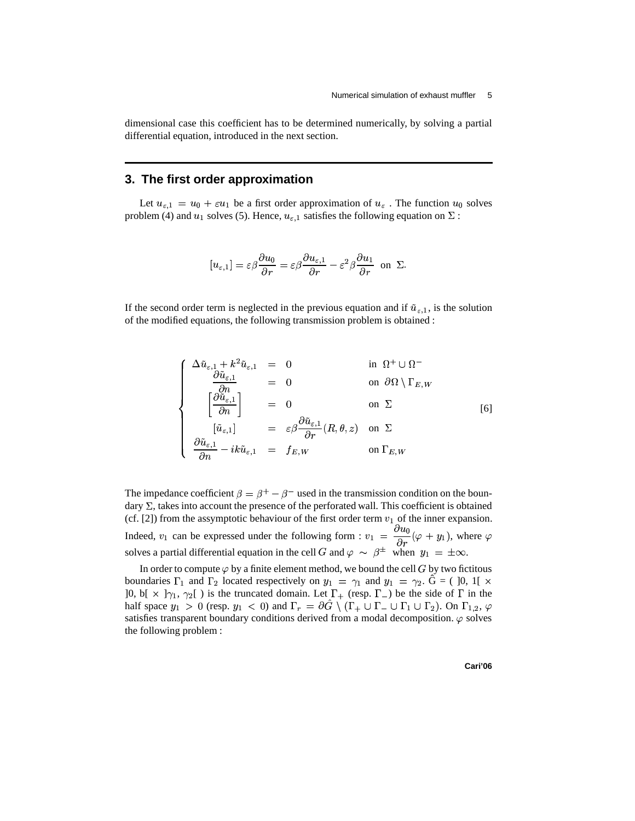dimensional case this coefficient has to be determined numerically, by solving a partial differential equation, introduced in the next section.

### **3. The first order approximation**

Let  $u_{\varepsilon,1} = u_0 + \varepsilon u_1$  be a first order approximation of  $u_{\varepsilon}$ . The function  $u_0$  solves problem (4) and  $u_1$  solves (5). Hence,  $u_{\varepsilon,1}$  satisfies the following equation on  $\Sigma$  :

$$
[u_{\varepsilon,1}] = \varepsilon\beta \frac{\partial u_0}{\partial r} = \varepsilon\beta \frac{\partial u_{\varepsilon,1}}{\partial r} - \varepsilon^2\beta \frac{\partial u_1}{\partial r} \text{ on } \Sigma.
$$

If the second order term is neglected in the previous equation and if  $\tilde{u}_{\varepsilon,1}$ , is the solution of the modified equations, the following transmission problem is obtained :

$$
\begin{cases}\n\Delta \tilde{u}_{\varepsilon,1} + k^2 \tilde{u}_{\varepsilon,1} = 0 & \text{in } \Omega^+ \cup \Omega^- \\
\frac{\partial \tilde{u}_{\varepsilon,1}}{\partial n} = 0 & \text{on } \partial \Omega \setminus \Gamma_{E,W} \\
\left[\frac{\partial \tilde{u}_{\varepsilon,1}}{\partial n}\right] = 0 & \text{on } \Sigma \qquad \qquad \text{[6]} \\
\frac{\partial \tilde{u}_{\varepsilon,1}}{\partial n} - ik \tilde{u}_{\varepsilon,1} = f_{E,W} & \text{on } \Gamma_{E,W}\n\end{cases}
$$

The impedance coefficient  $\beta = \beta^+ - \beta^-$  used in the transmission condition on the boundary  $\Sigma$ , takes into account the presence of the perforated wall. This coefficient is obtained (cf. [2]) from the assymptotic behaviour of the first order term  $v_1$  of the inner expansion. Indeed,  $v_1$  can be expressed under the following form :  $v_1 = \frac{\partial u_0}{\partial x}(\varphi + y_1)$ ,  $\frac{v_0}{r}(\varphi + y_1)$ , where  $\varphi$ solves a partial differential equation in the cell G and  $\varphi \sim \beta^{\pm}$  when  $y_1 = \pm \infty$ .

In order to compute  $\varphi$  by a finite element method, we bound the cell G by two fictitous boundaries  $\Gamma_1$  and  $\Gamma_2$  located respectively on  $y_1 = \gamma_1$  and  $y_1 = \gamma_2$ .  $\tilde{G} = (10, 11 \times$  $]0, b[ \times ]\gamma_1, \gamma_2[$  is the truncated domain. Let  $\Gamma_+$  (resp.  $\Gamma_-$ ) be the side of  $\Gamma$  in the half space  $y_1 > 0$  (resp.  $y_1 < 0$ ) and  $\Gamma_r = \partial G \setminus (\Gamma_+ \cup \Gamma_- \cup \Gamma_1 \cup \Gamma_2)$ . On  $\Gamma_{1,2}$ ,  $\varphi$ satisfies transparent boundary conditions derived from a modal decomposition.  $\varphi$  solves the following problem :

**Cari'06**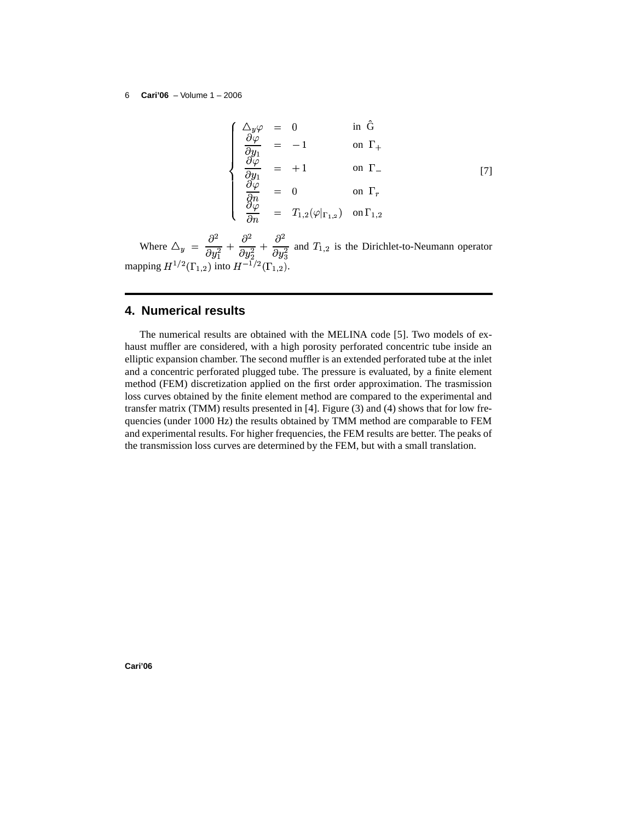$$
\begin{cases}\n\Delta_y \varphi = 0 & \text{in } \hat{G} \\
\frac{\partial \varphi}{\partial y_1} = -1 & \text{on } \Gamma_+ \\
\frac{\partial \varphi}{\partial y_1} = +1 & \text{on } \Gamma_-\n\end{cases}
$$
\n[7]\n
$$
\begin{cases}\n\frac{\partial \varphi}{\partial n} = 0 & \text{on } \Gamma_r \\
\frac{\partial \varphi}{\partial n} = T_{1,2}(\varphi|_{\Gamma_{1,2}}) & \text{on } \Gamma_{1,2}\n\end{cases}
$$

Where  $\Delta_y = \frac{9}{2} + \frac{9}{2}$  $\frac{\partial^2}{\partial u^2_1}+\frac{\partial^2}{\partial u^2_2}+\frac{\partial^2}{\partial u^2_2}$  :  $\frac{\partial^2}{\partial y_2^2} + \frac{\partial^2}{\partial y_3^2}$  a . . . . . . .  $\frac{\partial^2}{\partial y_3^2}$  and  $T_{1,2}$ and  $T_{1,2}$  is the Dirichlet-to-Neumann operator mapping  $H^{1/2}(\Gamma_{1,2})$  into  $H^{-1/2}(\Gamma_{1,2})$ .

## **4. Numerical results**

The numerical results are obtained with the MELINA code [5]. Two models of exhaust muffler are considered, with a high porosity perforated concentric tube inside an elliptic expansion chamber. The second muffler is an extended perforated tube at the inlet and a concentric perforated plugged tube. The pressure is evaluated, by a finite element method (FEM) discretization applied on the first order approximation. The trasmission loss curves obtained by the finite element method are compared to the experimental and transfer matrix (TMM) results presented in [4]. Figure (3) and (4) shows that for low frequencies (under 1000 Hz) the results obtained by TMM method are comparable to FEM and experimental results. For higher frequencies, the FEM results are better. The peaks of the transmission loss curves are determined by the FEM, but with a small translation.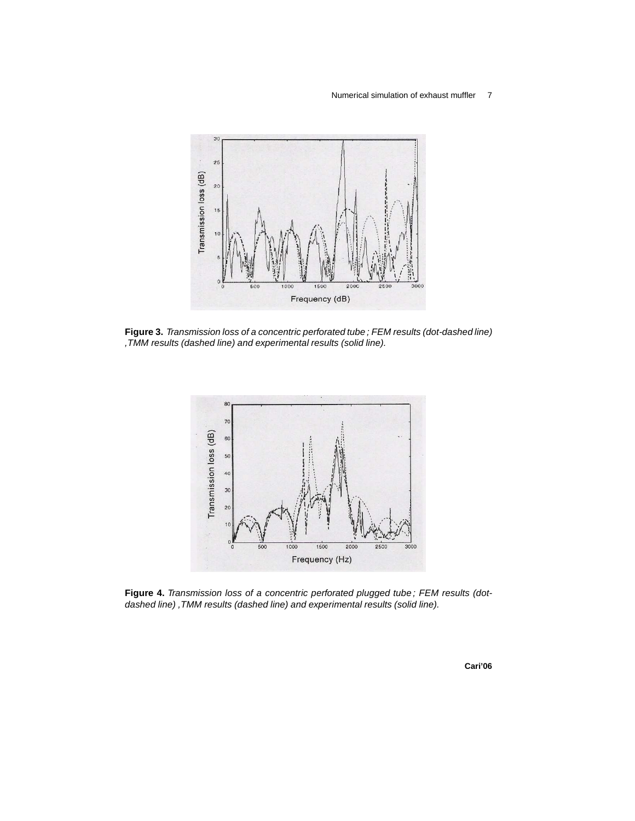#### Numerical simulation of exhaust muffler 7



**Figure 3.** Transmission loss of a concentric perforated tube ; FEM results (dot-dashed line) ,TMM results (dashed line) and experimental results (solid line).



**Figure 4.** Transmission loss of a concentric perforated plugged tube ; FEM results (dotdashed line) ,TMM results (dashed line) and experimental results (solid line).